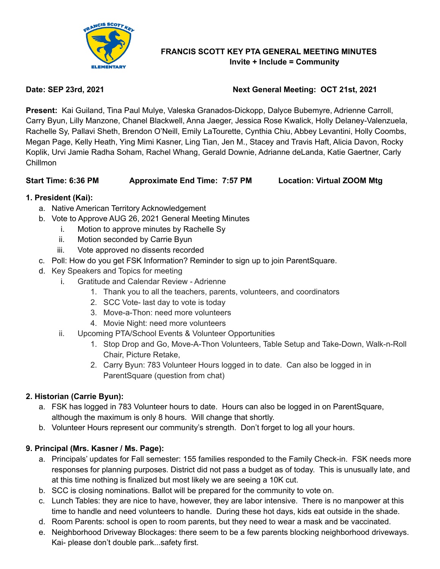

#### **FRANCIS SCOTT KEY PTA GENERAL MEETING MINUTES Invite + Include = Community**

## **Date: SEP 23rd, 2021 Next General Meeting: OCT 21st, 2021**

**Present:** Kai Guiland, Tina Paul Mulye, Valeska Granados-Dickopp, Dalyce Bubemyre, Adrienne Carroll, Carry Byun, Lilly Manzone, Chanel Blackwell, Anna Jaeger, Jessica Rose Kwalick, Holly Delaney-Valenzuela, Rachelle Sy, Pallavi Sheth, Brendon O'Neill, Emily LaTourette, Cynthia Chiu, Abbey Levantini, Holly Coombs, Megan Page, Kelly Heath, Ying Mimi Kasner, Ling Tian, Jen M., Stacey and Travis Haft, Alicia Davon, Rocky Koplik, Urvi Jamie Radha Soham, Rachel Whang, Gerald Downie, Adrianne deLanda, Katie Gaertner, Carly Chillmon

## **Start Time: 6:36 PM Approximate End Time: 7:57 PM Location: Virtual ZOOM Mtg**

## **1. President (Kai):**

- a. Native American Territory Acknowledgement
- b. Vote to Approve AUG 26, 2021 General Meeting Minutes
	- i. Motion to approve minutes by Rachelle Sy
	- ii. Motion seconded by Carrie Byun
	- iii. Vote approved no dissents recorded
- c. Poll: How do you get FSK Information? Reminder to sign up to join ParentSquare.
- d. Key Speakers and Topics for meeting
	- i. Gratitude and Calendar Review Adrienne
		- 1. Thank you to all the teachers, parents, volunteers, and coordinators
		- 2. SCC Vote- last day to vote is today
		- 3. Move-a-Thon: need more volunteers
		- 4. Movie Night: need more volunteers
	- ii. Upcoming PTA/School Events & Volunteer Opportunities
		- 1. Stop Drop and Go, Move-A-Thon Volunteers, Table Setup and Take-Down, Walk-n-Roll Chair, Picture Retake,
		- 2. Carry Byun: 783 Volunteer Hours logged in to date. Can also be logged in in ParentSquare (question from chat)

## **2. Historian (Carrie Byun):**

- a. FSK has logged in 783 Volunteer hours to date. Hours can also be logged in on ParentSquare, although the maximum is only 8 hours. Will change that shortly.
- b. Volunteer Hours represent our community's strength. Don't forget to log all your hours.

## **9. Principal (Mrs. Kasner / Ms. Page):**

- a. Principals' updates for Fall semester: 155 families responded to the Family Check-in. FSK needs more responses for planning purposes. District did not pass a budget as of today. This is unusually late, and at this time nothing is finalized but most likely we are seeing a 10K cut.
- b. SCC is closing nominations. Ballot will be prepared for the community to vote on.
- c. Lunch Tables: they are nice to have, however, they are labor intensive. There is no manpower at this time to handle and need volunteers to handle. During these hot days, kids eat outside in the shade.
- d. Room Parents: school is open to room parents, but they need to wear a mask and be vaccinated.
- e. Neighborhood Driveway Blockages: there seem to be a few parents blocking neighborhood driveways. Kai- please don't double park...safety first.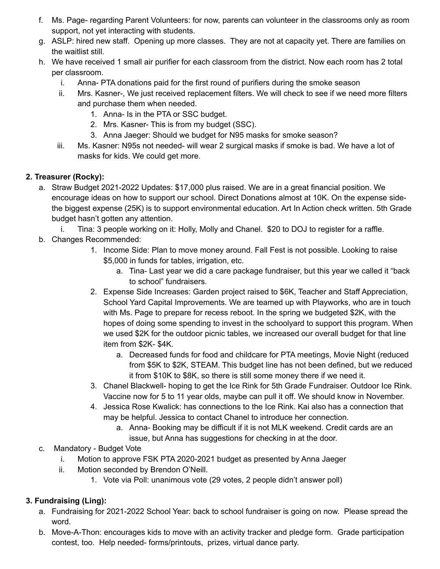- f. Ms. Page- regarding Parent Volunteers: for now, parents can volunteer in the classrooms only as room support, not yet interacting with students.
- g. ASLP: hired new staff. Opening up more classes. They are not at capacity yet. There are families on the waitlist still.
- h. We have received 1 small air purifier for each classroom from the district. Now each room has 2 total per classroom.
	- i. Anna- PTA donations paid for the first round of purifiers during the smoke season
	- ii. Mrs. Kasner-, We just received replacement filters. We will check to see if we need more filters and purchase them when needed.
		- 1. Anna- Is in the PTA or SSC budget.
		- 2. Mrs. Kasner- This is from my budget (SSC).
		- 3. Anna Jaeger: Should we budget for N95 masks for smoke season?
	- iii. Ms. Kasner: N95s not needed- will wear 2 surgical masks if smoke is bad. We have a lot of masks for kids. We could get more.

## **2. Treasurer (Rocky):**

- a. Straw Budget 2021-2022 Updates: \$17,000 plus raised. We are in a great financial position. We encourage ideas on how to support our school. Direct Donations almost at 10K. On the expense sidethe biggest expense (25K) is to support environmental education. Art In Action check written. 5th Grade budget hasn't gotten any attention.
	- i. Tina: 3 people working on it: Holly, Molly and Chanel. \$20 to DOJ to register for a raffle.
- b. Changes Recommended:
	- 1. Income Side: Plan to move money around. Fall Fest is not possible. Looking to raise \$5,000 in funds for tables, irrigation, etc.
		- a. Tina- Last year we did a care package fundraiser, but this year we called it "back to school" fundraisers.
	- 2. Expense Side Increases: Garden project raised to \$6K, Teacher and Staff Appreciation, School Yard Capital Improvements. We are teamed up with Playworks, who are in touch with Ms. Page to prepare for recess reboot. In the spring we budgeted \$2K, with the hopes of doing some spending to invest in the schoolyard to support this program. When we used \$2K for the outdoor picnic tables, we increased our overall budget for that line item from \$2K- \$4K.
		- a. Decreased funds for food and childcare for PTA meetings, Movie Night (reduced from \$5K to \$2K, STEAM. This budget line has not been defined, but we reduced it from \$10K to \$8K, so there is still some money there if we need it.
	- 3. Chanel Blackwell- hoping to get the Ice Rink for 5th Grade Fundraiser. Outdoor Ice Rink. Vaccine now for 5 to 11 year olds, maybe can pull it off. We should know in November.
	- 4. Jessica Rose Kwalick: has connections to the Ice Rink. Kai also has a connection that may be helpful. Jessica to contact Chanel to introduce her connection.
		- a. Anna- Booking may be difficult if it is not MLK weekend. Credit cards are an
		- issue, but Anna has suggestions for checking in at the door.
- c. Mandatory Budget Vote
	- i. Motion to approve FSK PTA 2020-2021 budget as presented by Anna Jaeger
	- ii. Motion seconded by Brendon O'Neill.
		- 1. Vote via Poll: unanimous vote (29 votes, 2 people didn't answer poll)

# **3. Fundraising (Ling):**

- a. Fundraising for 2021-2022 School Year: back to school fundraiser is going on now. Please spread the word.
- b. Move-A-Thon: encourages kids to move with an activity tracker and pledge form. Grade participation contest, too. Help needed- forms/printouts, prizes, virtual dance party.